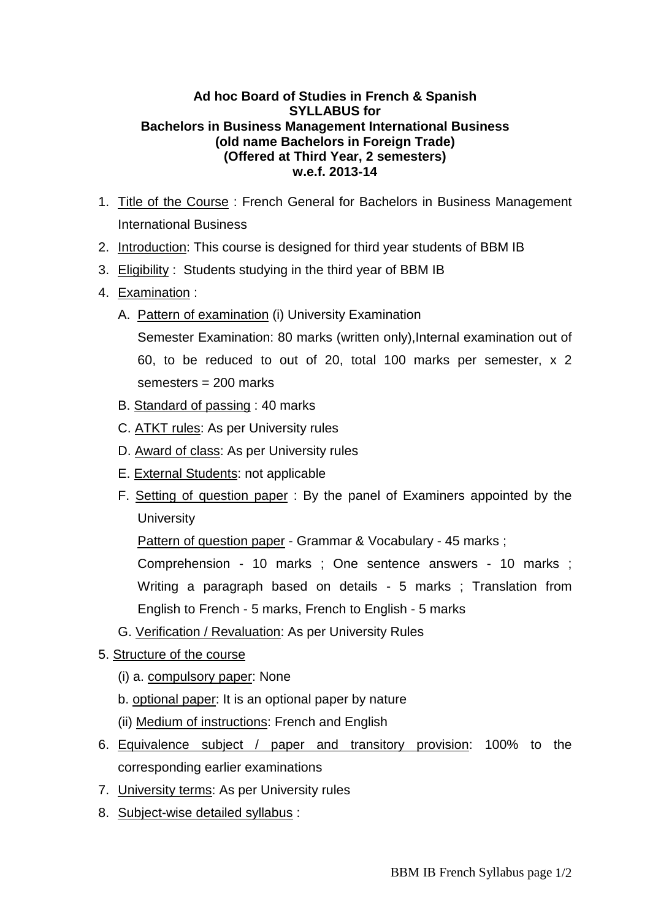## **Ad hoc Board of Studies in French & Spanish SYLLABUS for Bachelors in Business Management International Business (old name Bachelors in Foreign Trade) (Offered at Third Year, 2 semesters) w.e.f. 2013-14**

- 1. Title of the Course : French General for Bachelors in Business Management International Business
- 2. Introduction: This course is designed for third year students of BBM IB
- 3. Eligibility : Students studying in the third year of BBM IB
- 4. Examination :
	- A. Pattern of examination (i) University Examination
		- Semester Examination: 80 marks (written only), Internal examination out of 60, to be reduced to out of 20, total 100 marks per semester, x 2 semesters = 200 marks
	- B. Standard of passing : 40 marks
	- C. ATKT rules: As per University rules
	- D. Award of class: As per University rules
	- E. External Students: not applicable
	- F. Setting of question paper : By the panel of Examiners appointed by the **University**

Pattern of question paper - Grammar & Vocabulary - 45 marks;

 Comprehension - 10 marks ; One sentence answers - 10 marks ; Writing a paragraph based on details - 5 marks ; Translation from English to French - 5 marks, French to English - 5 marks

- G. Verification / Revaluation: As per University Rules
- 5. Structure of the course
	- (i) a. compulsory paper: None
	- b. optional paper: It is an optional paper by nature
	- (ii) Medium of instructions: French and English
- 6. Equivalence subject / paper and transitory provision: 100% to the corresponding earlier examinations
- 7. University terms: As per University rules
- 8. Subject-wise detailed syllabus :